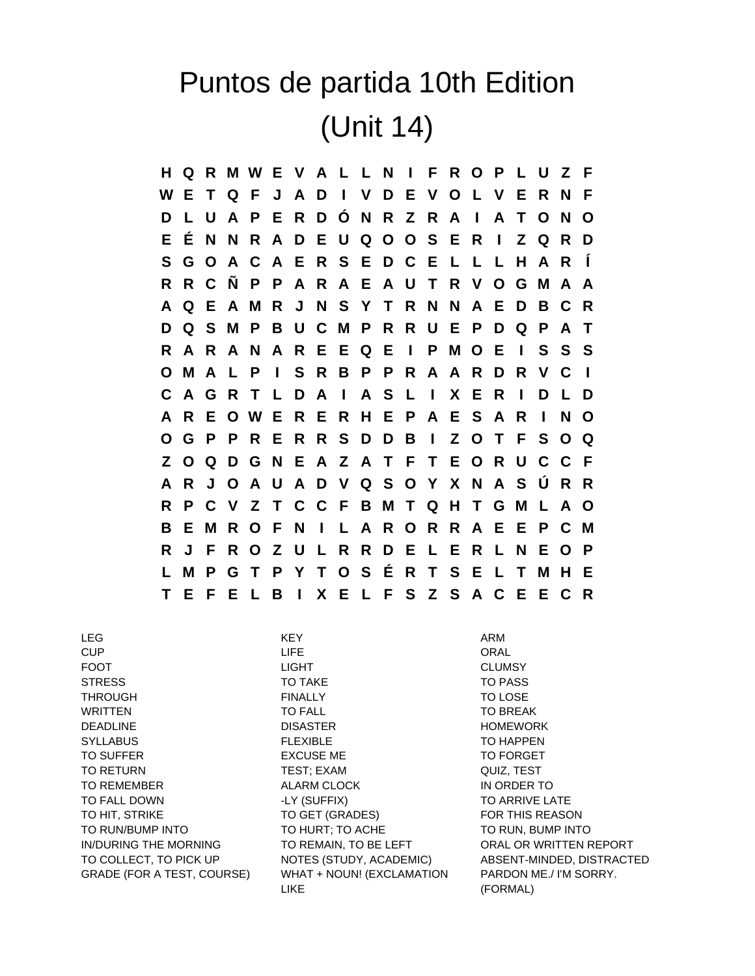## Puntos de partida 10th Edition (Unit 14)

**H Q R M W E V A L L N I F R O P L U Z F W E T Q F J A D I V D E V O L V E R N F D L U A P E R D Ó N R Z R A I A T O N O E É N N R A D E U Q O O S E R I Z Q R D S G O A C A E R S E D C E L L L H A R Í R R C Ñ P P A R A E A U T R V O G M A A A Q E A M R J N S Y T R N N A E D B C R D Q S M P B U C M P R R U E P D Q P A T R A R A N A R E E Q E I P M O E I S S S O M A L P I S R B P P R A A R D R V C I C A G R T L D A I A S L I X E R I D L D A R E O W E R E R H E P A E S A R I N O O G P P R E R R S D D B I Z O T F S O Q Z O Q D G N E A Z A T F T E O R U C C F A R J O A U A D V Q S O Y X N A S Ú R R R P C V Z T C C F B M T Q H T G M L A O B E M R O F N I L A R O R R A E E P C M R J F R O Z U L R R D E L E R L N E O P L M P G T P Y T O S É R T S E L T M H E T E F E L B I X E L F S Z S A C E E C R**

LEG KEY ARM

CUP LIFE ORAL FOOT LIGHT CLUMSY STRESS TO TAKE TO TAKE TO PASS THROUGH **FINALLY THROUGH FINALLY TO LOSE** WRITTEN TO FALL TO BREAK DEADLINE DISASTER HOMEWORK SYLLABUS FLEXIBLE TO HAPPEN TO SUFFER TO FORGET EXCUSE ME TO FORGET TO RETURN TEST; EXAM TEST; EXAM QUIZ, TEST TO REMEMBER ALARM CLOCK IN ORDER TO TO FALL DOWN FALL AND TO ARRIVE LATE A LY (SUFFIX) TO ARRIVE LATE TO HIT, STRIKE TO GET (GRADES) FOR THIS REASON TO RUN/BUMP INTO TO HURT; TO ACHE TO RUN, BUMP INTO IN/DURING THE MORNING TO REMAIN, TO BE LEFT TO RAL OR WRITTEN REPORT GRADE (FOR A TEST, COURSE) WHAT + NOUN! (EXCLAMATION LIKE

TO COLLECT, TO PICK UP NOTES (STUDY, ACADEMIC) ABSENT-MINDED, DISTRACTED PARDON ME./ I'M SORRY. (FORMAL)